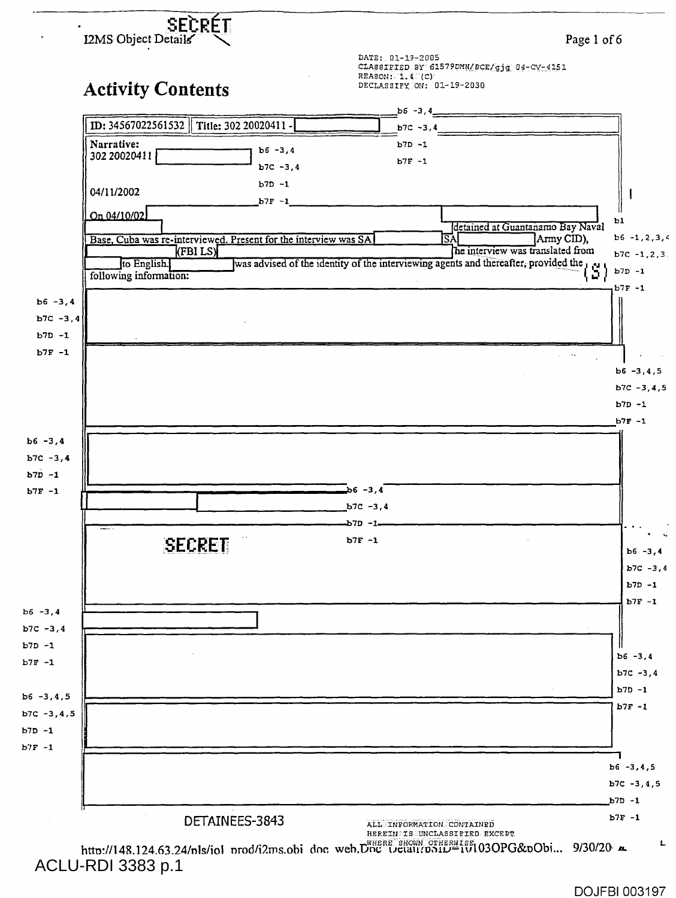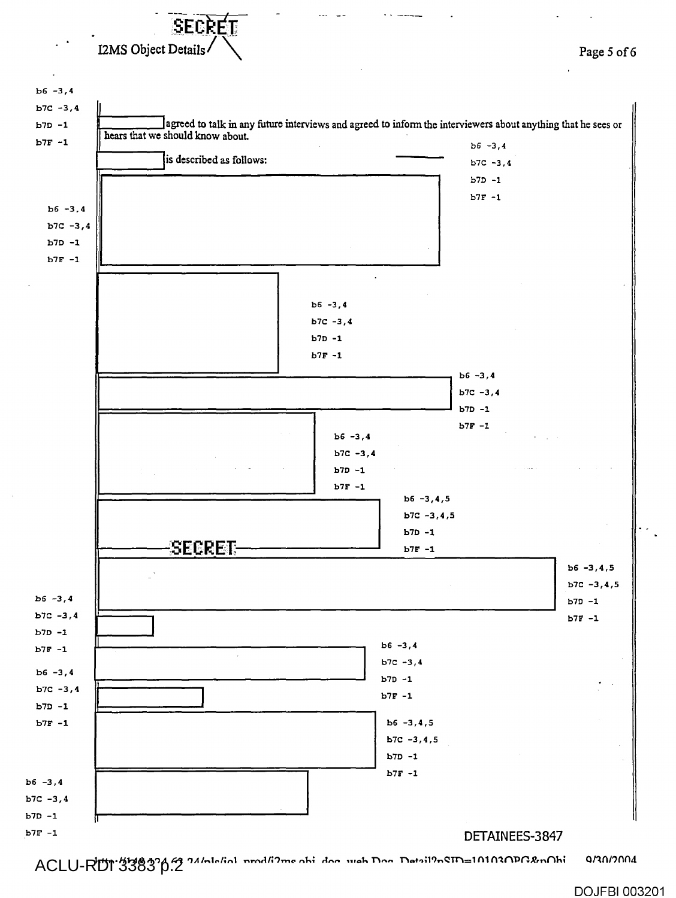

**1,4tr%•/ /1 AQ 11A 41 1,11...1.../;n1 rn-nri rno rsIs; rirtre Ivrea. n tsp.** nor.n;19.,Q 1nl **n2rtn-12,,-,r1 ; onnrmw.**  ACLU-RDI 3383 p.2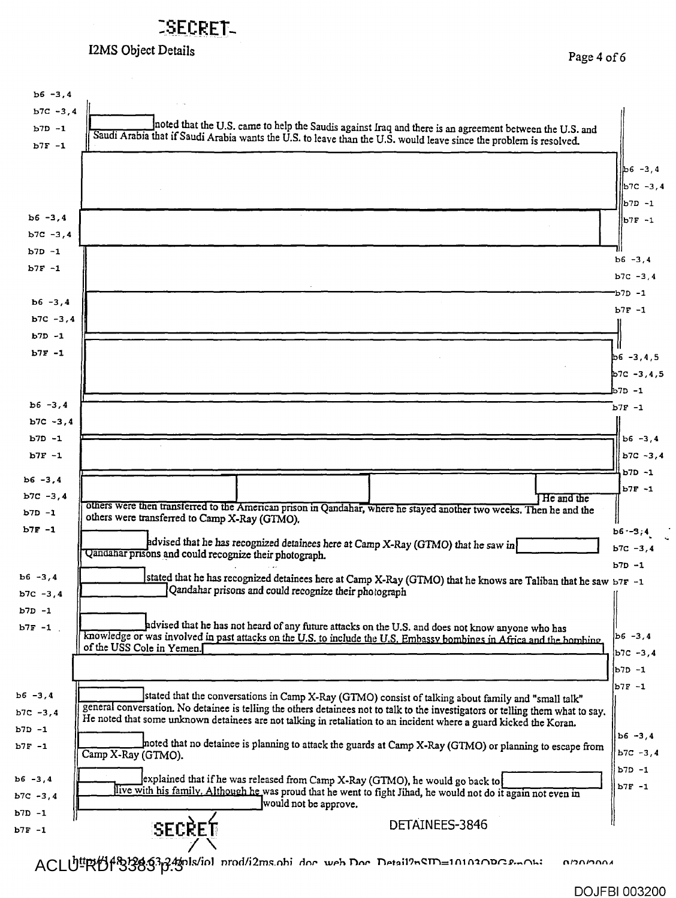## **:SECRET-**

## I2MS Object Details **Page 4 of 6**

| $b6 - 3, 4$            |                                                                                                                                                                                                                               |                              |
|------------------------|-------------------------------------------------------------------------------------------------------------------------------------------------------------------------------------------------------------------------------|------------------------------|
| $b7C - 3, 4$           |                                                                                                                                                                                                                               |                              |
| $b7D - 1$              | noted that the U.S. came to help the Saudis against Iraq and there is an agreement between the U.S. and<br>Saudi Arabia that if Saudi Arabia wants the U.S. to leave than the U.S. would leave since the problem is resolved. |                              |
| $b7F - 1$              |                                                                                                                                                                                                                               |                              |
|                        |                                                                                                                                                                                                                               | $b6 - 3.4$                   |
|                        |                                                                                                                                                                                                                               | lb7c -з,4                    |
|                        |                                                                                                                                                                                                                               | 1– מלמ                       |
| $b6 - 3, 4$            |                                                                                                                                                                                                                               | b7F -1                       |
| $b7C - 3.4$            |                                                                                                                                                                                                                               |                              |
| $b7D - 1$              |                                                                                                                                                                                                                               | $b6 - 3, 4$                  |
| $b7F - 1$              |                                                                                                                                                                                                                               | $b7C - 3, 4$                 |
|                        |                                                                                                                                                                                                                               | b7D -1                       |
| $b6 - 3, 4$            |                                                                                                                                                                                                                               | $b7F - 1$                    |
| $b7C - 3, 4$           |                                                                                                                                                                                                                               |                              |
| $b7D - 1$              |                                                                                                                                                                                                                               |                              |
| $b7F - 1$              |                                                                                                                                                                                                                               | $b6 - 3, 4, 5$               |
|                        |                                                                                                                                                                                                                               | $b7C - 3, 4, 5$              |
|                        |                                                                                                                                                                                                                               | 1- מל                        |
| $b6 - 3, 4$            |                                                                                                                                                                                                                               | $b7F - 1$                    |
| $b7C - 3, 4$           |                                                                                                                                                                                                                               |                              |
| $b7D - 1$<br>$b7F - 1$ |                                                                                                                                                                                                                               | $ b6 - 3, 4$<br>$b7C - 3, 4$ |
|                        |                                                                                                                                                                                                                               | $b7D - 1$                    |
| $b6 - 3, 4$            |                                                                                                                                                                                                                               | $b7F - 1$                    |
| $b7C - 3, 4$           | He and the<br>others were then transferred to the American prison in Qandahar, where he stayed another two weeks. Then he and the                                                                                             |                              |
| $b7D - 1$              | others were transferred to Camp X-Ray (GTMO).                                                                                                                                                                                 |                              |
| $b7F - 1$              | advised that he has recognized detainees here at Camp X-Ray (GTMO) that he saw in                                                                                                                                             | $b6 - 3, 4$                  |
|                        | Qandahar prisons and could recognize their photograph.                                                                                                                                                                        | $b7C - 3, 4$                 |
| $b6 - 3, 4$            |                                                                                                                                                                                                                               | $b7D - 1$                    |
| $b7C - 3, 4$           | stated that he has recognized detainees here at Camp X-Ray (GTMO) that he knows are Taliban that he saw b7F -1<br>Qandahar prisons and could recognize their photograph                                                       |                              |
|                        |                                                                                                                                                                                                                               |                              |
| $b7F - 1$              | advised that he has not heard of any future attacks on the U.S. and does not know anyone who has                                                                                                                              |                              |
|                        | knowledge or was involved in past attacks on the U.S. to include the U.S. Embassy bombines in Africa and the bombine,<br>of the USS Cole in Yemen.                                                                            | $b6 - 3,4$                   |
|                        |                                                                                                                                                                                                                               | $ b7C - 3, 4$                |
|                        |                                                                                                                                                                                                                               | b7D -1                       |
|                        | stated that the conversations in Camp X-Ray (GTMO) consist of talking about family and "small talk"                                                                                                                           | $b7F - 1$                    |
| $b7C - 3, 4$           | general conversation. No detainee is telling the others detainees not to talk to the investigators or telling them what to say.                                                                                               |                              |
|                        | He noted that some unknown detainees are not talking in retaliation to an incident where a guard kicked the Koran.                                                                                                            | $b6 - 3, 4$                  |
|                        | noted that no detainee is planning to attack the guards at Camp X-Ray (GTMO) or planning to escape from<br>Camp X-Ray (GTMO).                                                                                                 | $b7C - 3,4$                  |
|                        |                                                                                                                                                                                                                               | $b7D - 1$                    |
|                        | explained that if he was released from Camp X-Ray (GTMO), he would go back to                                                                                                                                                 | $b7F - 1$                    |
| $b7C - 3, 4$           | live with his family. Although he was proud that he went to fight Jihad, he would not do it again not even in<br>would not be approve.                                                                                        |                              |
|                        | DETAINEES-3846                                                                                                                                                                                                                |                              |
|                        | SECRET                                                                                                                                                                                                                        |                              |

ACLUI RHI<sup>48</sup>3383.24/nls/iol prod/i2ms.obi doc web Doc Detail?nem=1010300c emOh: 0/20/2004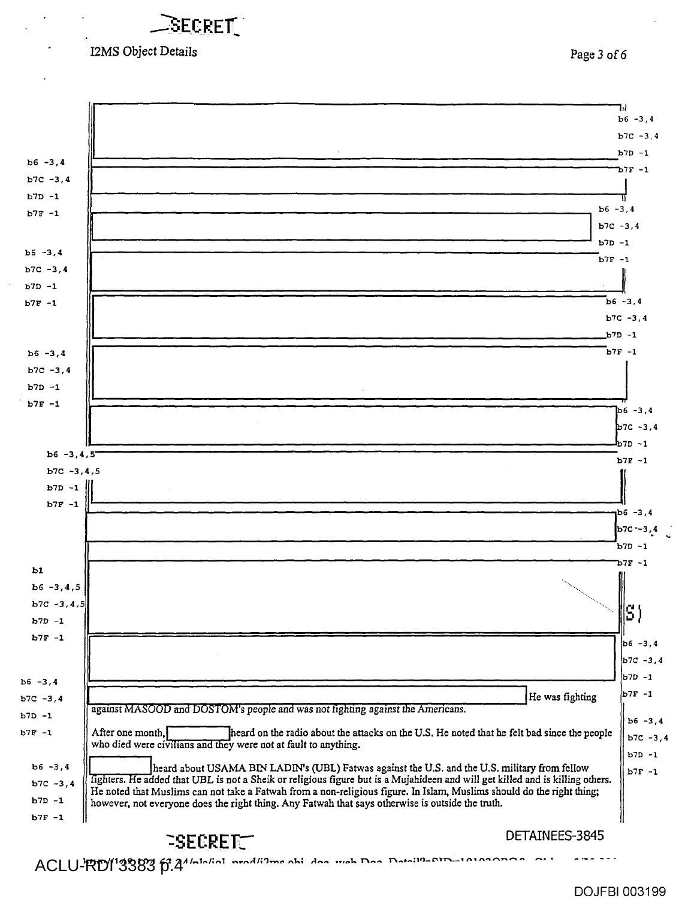I2MS Object Details **Page 3 of 6** 

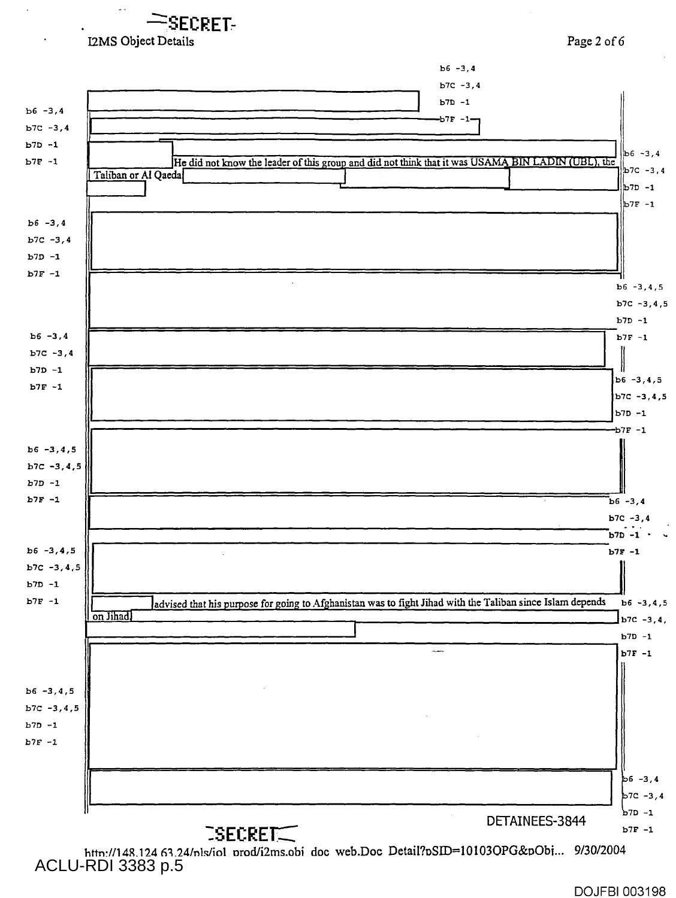**SECRET**  I2MS Object Details Page 2 of 6